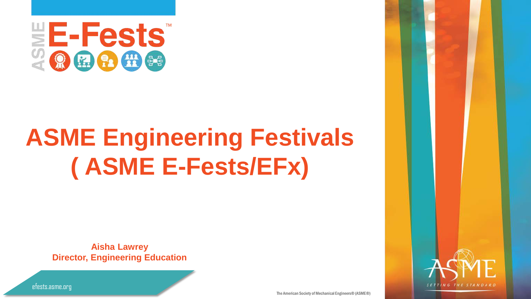

# **ASME Engineering Festivals ( ASME E-Fests/EFx)**

**Aisha Lawrey Director, Engineering Education**



The American Society of Mechanical Engineers® (ASME®)

efests.asme.org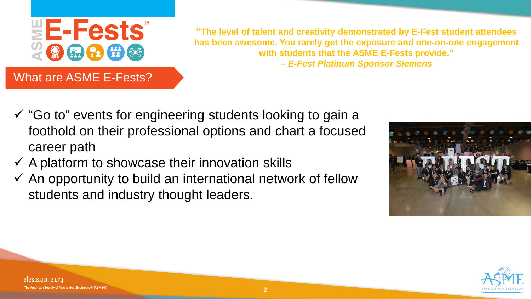

**"The level of talent and creativity demonstrated by E-Fest student attendees has been awesome. You rarely get the exposure and one-on-one engagement with students that the ASME E-Fests provide." –** *E-Fest Platinum Sponsor Siemens*

- $\checkmark$  "Go to" events for engineering students looking to gain a foothold on their professional options and chart a focused career path
- $\checkmark$  A platform to showcase their innovation skills
- $\checkmark$  An opportunity to build an international network of fellow students and industry thought leaders.



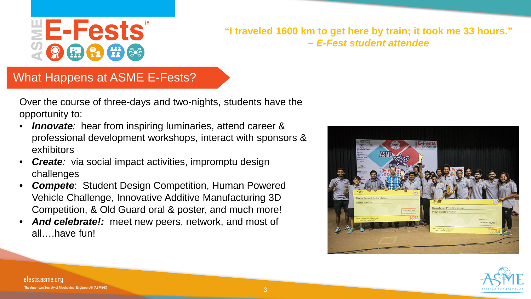

#### **"I traveled 1600 km to get here by train; it took me 33 hours." –** *E-Fest student attendee*

#### What Happens at ASME E-Fests?

Over the course of three-days and two-nights, students have the opportunity to:

- **Innovate**: hear from inspiring luminaries, attend career & professional development workshops, interact with sponsors & exhibitors
- **Create**: via social impact activities, impromptu design challenges
- **Compete:** Student Design Competition, Human Powered Vehicle Challenge, Innovative Additive Manufacturing 3D Competition, & Old Guard oral & poster, and much more!
- And celebrate!: meet new peers, network, and most of all….have fun!





efests.asme.org ican Society of Mechanical Engineers® (ASME®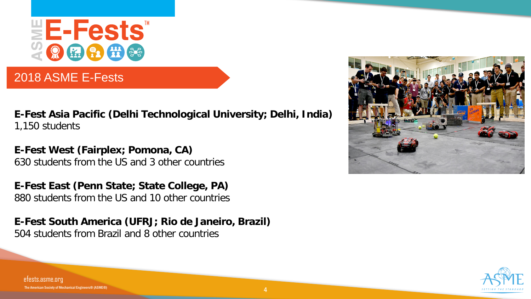

### 2018 ASME E-Fests

**E-Fest Asia Pacific (Delhi Technological University; Delhi, India)** 1,150 students

**E-Fest West (Fairplex; Pomona, CA)** 630 students from the US and 3 other countries

**E-Fest East (Penn State; State College, PA)** 880 students from the US and 10 other countries

**E-Fest South America (UFRJ; Rio de Janeiro, Brazil)** 504 students from Brazil and 8 other countries





efests.asme.org rican Society of Mechanical Engineers® (ASME®)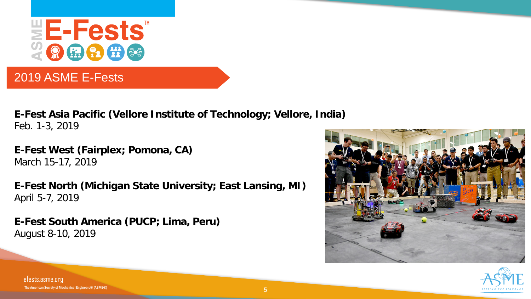

#### 2019 ASME E-Fests

**E-Fest Asia Pacific (Vellore Institute of Technology; Vellore, India)** Feb. 1-3, 2019

**E-Fest West (Fairplex; Pomona, CA)** March 15-17, 2019

**E-Fest North (Michigan State University; East Lansing, MI)** April 5-7, 2019

**E-Fest South America (PUCP; Lima, Peru)** August 8-10, 2019





efests.asme.org The American Society of Mechanical Engineers® (ASME®)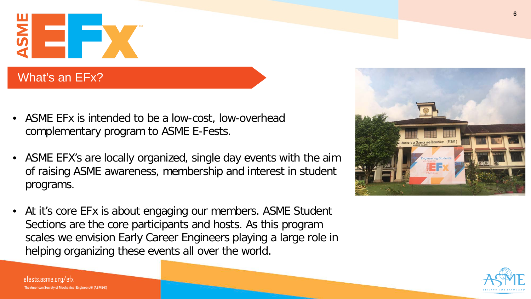

## What's an EFx?

- ASME EFx is intended to be a low-cost, low-overhead complementary program to ASME E-Fests.
- ASME EFX's are locally organized, single day events with the aim of raising ASME awareness, membership and interest in student programs.
- At it's core EFx is about engaging our members. ASME Student Sections are the core participants and hosts. As this program scales we envision Early Career Engineers playing a large role in helping organizing these events all over the world.





efests.asme.org/efx The American Society of Mechanical Engineers® (ASME®)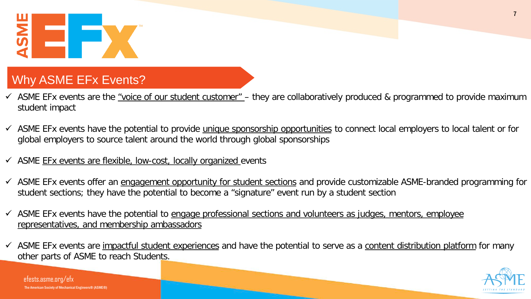

## Why ASME EFx Events?

- $\checkmark$  ASME EFx events are the "voice of our student customer" they are collaboratively produced & programmed to provide maximum student impact
- $\checkmark$  ASME EFx events have the potential to provide unique sponsorship opportunities to connect local employers to local talent or for global employers to source talent around the world through global sponsorships
- $\checkmark$  ASME EFx events are flexible, low-cost, locally organized events
- $\checkmark$  ASME EFx events offer an engagement opportunity for student sections and provide customizable ASME-branded programming for student sections; they have the potential to become a "signature" event run by a student section
- $\checkmark$  ASME EFx events have the potential to engage professional sections and volunteers as judges, mentors, employee representatives, and membership ambassadors
- $\checkmark$  ASME EFx events are impactful student experiences and have the potential to serve as a content distribution platform for many other parts of ASME to reach Students.



efests.asme.org/efx n Society of Mechanical Engineers® (ASME®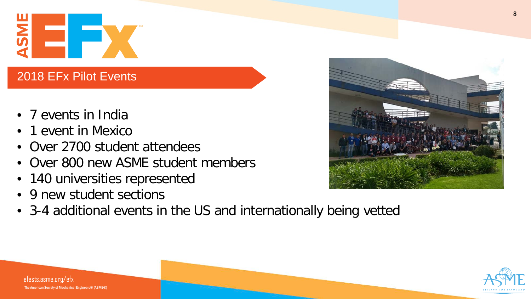

### 2018 EFx Pilot Events

- 7 events in India
- 1 event in Mexico
- Over 2700 student attendees
- Over 800 new ASME student members
- 140 universities represented
- 9 new student sections
- 3-4 additional events in the US and internationally being vetted





efests.asme.org/efx rican Society of Mechanical Engineers® (ASME®